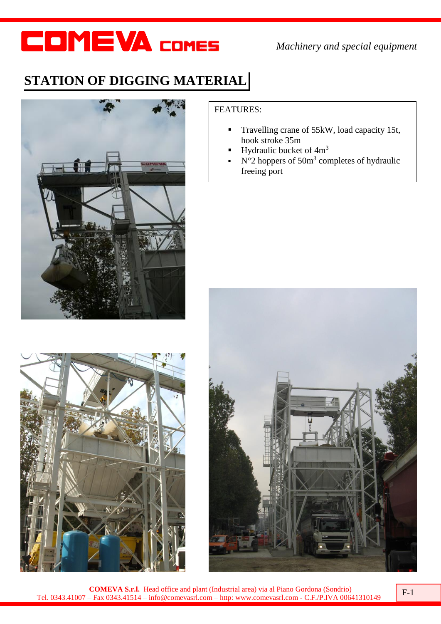*Machinery and special equipment*

### **STATION OF DIGGING MATERIAL**





#### FEATURES:

- Travelling crane of 55kW, load capacity 15t, hook stroke 35m
- Hydraulic bucket of 4m<sup>3</sup>
- $\sim N^{\circ}2$  hoppers of 50 $m^3$  completes of hydraulic freeing port



**COMEVA S.r.l.** Head office and plant (Industrial area) via al Piano Gordona (Sondrio) **COMEVA S.r.l.** Head office and plant (Industrial area) via al Piano Gordona (Sondrio)<br>Tel. 0343.41007 – Fax 0343.41514 – info@comevasrl.com – http: www.comevasrl.com - C.F./P.IVA 00641310149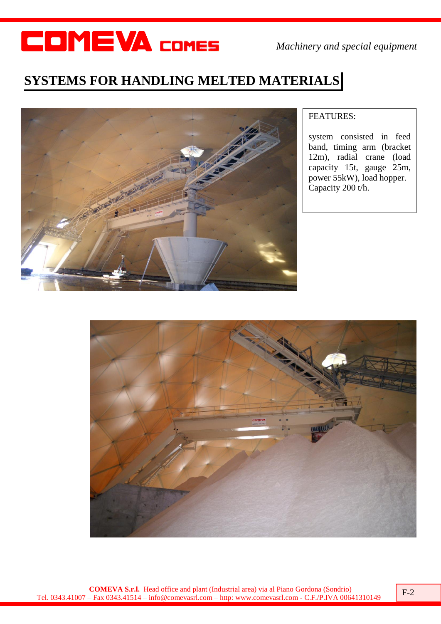*Machinery and special equipment*

#### **SYSTEMS FOR HANDLING MELTED MATERIALS**



#### FEATURES:

system consisted in feed band, timing arm (bracket 12m), radial crane (load capacity 15t, gauge 25m, power 55kW), load hopper. Capacity 200 t/h.

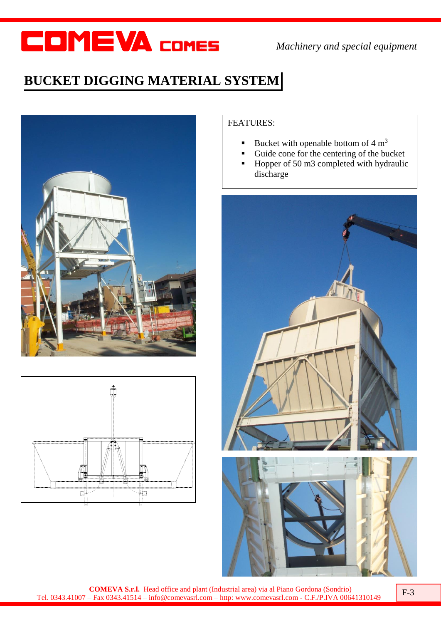*Machinery and special equipment*

### **BUCKET DIGGING MATERIAL SYSTEM**





#### FEATURES:

- Bucket with openable bottom of  $4 \text{ m}^3$
- Guide cone for the centering of the bucket
- Hopper of 50 m3 completed with hydraulic discharge



**COMEVA S.r.l.** Head office and plant (Industrial area) via al Piano Gordona (Sondrio) **COMEVA S.r.l.** Head office and plant (Industrial area) via al Piano Gordona (Sondrio)<br>F-3<br>Tel. 0343.41007 – Fax 0343.41514 – info@comevasrl.com – http: www.comevasrl.com - C.F./P.IVA 00641310149